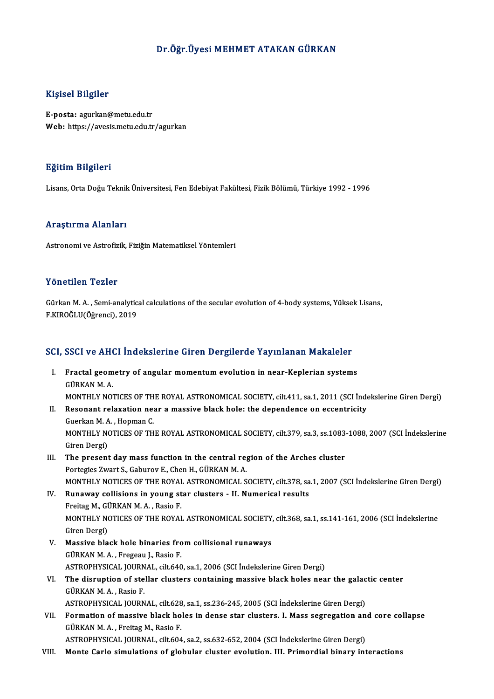## Dr.Öğr.Üyesi MEHMET ATAKAN GÜRKAN

### Kişisel Bilgiler

E-posta: agurkan@metu.edu.tr Web: https://avesis.metu.edu.tr/agurkan

#### Eğitim Bilgileri

Lisans,OrtaDoğuTeknikÜniversitesi,FenEdebiyatFakültesi,FizikBölümü,Türkiye 1992 -1996

#### Araştırma Alanları

Astronomi ve Astrofizik, Fiziğin Matematiksel Yöntemleri

#### Yönetilen Tezler

Yönetilen Tezler<br>Gürkan M. A. , Semi-analytical calculations of the secular evolution of 4-body systems, Yüksek Lisans,<br>E KIROČLU(Öğrensi), 2019 1 Onocnon Toznor<br>Gürkan M. A. , Semi-analytic<br>F.KIROĞLU(Öğrenci), 2019

# r.KikouLo(ogrenci), 2019<br>SCI, SSCI ve AHCI İndekslerine Giren Dergilerde Yayınlanan Makaleler

- CI, SSCI ve AHCI İndekslerine Giren Dergilerde Yayınlanan Makaleler<br>I. Fractal geometry of angular momentum evolution in near-Keplerian systems<br>CÜPKAN M A I. Fractal geometry of angular momentum evolution in near-Keplerian systems<br>GÜRKAN M. A. Fractal geometry of angular momentum evolution in near-Keplerian systems<br>GÜRKAN M. A.<br>MONTHLY NOTICES OF THE ROYAL ASTRONOMICAL SOCIETY, cilt.411, sa.1, 2011 (SCI İndekslerine Giren Dergi)<br>Besenant relayation near a massiv
- II. Resonant relaxation near a massive black hole: the dependence on eccentricity Guerkan M. A., Hopman C. MONTHLY NOTICES OF TH<br>Resonant relaxation ne:<br>Guerkan M. A. , Hopman C.<br>MONTHLY NOTICES OF TH MONTHLY NOTICES OF THE ROYAL ASTRONOMICAL SOCIETY, cilt.379, sa.3, ss.1083-1088, 2007 (SCI İndekslerine Giren Dergi) MONTHLY NOTICES OF THE ROYAL ASTRONOMICAL SOCIETY, cilt.379, sa.3, ss.1083<br>Giren Dergi)<br>III. The present day mass function in the central region of the Arches cluster<br>Portagion 7wart S. Coburey E. Chan H. CURKAN M. A
- Giren Dergi)<br>The present day mass function in the central re<sub>i</sub><br>Portegies Zwart S., Gaburov E., Chen H., GÜRKAN M. A.<br>MONTHLY NOTICES OF THE ROVAL ASTRONOMICAL S Portegies Zwart S., Gaburov E., Chen H., GÜRKAN M. A.<br>MONTHLY NOTICES OF THE ROYAL ASTRONOMICAL SOCIETY, cilt.378, sa.1, 2007 (SCI İndekslerine Giren Dergi) Portegies Zwart S., Gaburov E., Chen H., GÜRKAN M. A.<br>MONTHLY NOTICES OF THE ROYAL ASTRONOMICAL SOCIETY, cilt.378, sa<br>IV. Runaway collisions in young star clusters - II. Numerical results<br>Froites M. CÜRKAN M. A., Besie F.
- MONTHLY NOTICES OF THE ROYAL<br><mark>Runaway collisions in young st</mark><br>Freitag M., GÜRKAN M. A. , Rasio F.<br>MONTHI V NOTICES OF THE POYAL MONTHLY NOTICES OF THE ROYAL ASTRONOMICAL SOCIETY, cilt.368, sa.1, ss.141-161, 2006 (SCI İndekslerine<br>Giren Dergi) Freitag M., GÜRKAN M. A., Rasio F. MONTHLY NOTICES OF THE ROYAL ASTRONOMICAL SOCIETY,<br>Giren Dergi)<br>V. Massive black hole binaries from collisional runaways<br>CÜRKANM A. Fragaau L. Basia F.
- Giren Dergi)<br>Massive black hole binaries fro<br>GÜRKAN M. A. , Fregeau J., Rasio F.<br>ASTROPHYSICAL JOUPNAL Gilt 640 Massive black hole binaries from collisional runaways<br>GÜRKAN M. A. , Fregeau J., Rasio F.<br>ASTROPHYSICAL JOURNAL, cilt.640, sa.1, 2006 (SCI İndekslerine Giren Dergi)<br>The dispuntion of steller elusters containing massive bla
- GÜRKAN M. A. , Fregeau J., Rasio F.<br>ASTROPHYSICAL JOURNAL, cilt.640, sa.1, 2006 (SCI İndekslerine Giren Dergi)<br>VI. The disruption of stellar clusters containing massive black holes near the galactic center<br>GÜRKAN M. A. ASTROPHYSICAL JOURN<br>The disruption of ste<br>GÜRKAN M. A. , Rasio F.<br>ASTROPHYSICAL JOURN The disruption of stellar clusters containing massive black holes near the galac<br>GÜRKAN M. A., Rasio F.<br>ASTROPHYSICAL JOURNAL, cilt.628, sa.1, ss.236-245, 2005 (SCI İndekslerine Giren Dergi)<br>Formation of massive black bole
- VII. Formation of massive black holes in dense star clusters. I. Mass segregation and core collapse<br>GÜRKAN M. A., Freitag M., Rasio F. ASTROPHYSICAL JOURNAL, cilt.628<br>Formation of massive black ho<br>GÜRKAN M. A. , Freitag M., Rasio F.<br>ASTROPHYSICAL JOURNAL cilt.604

ASTROPHYSICAL JOURNAL, cilt.604, sa.2, ss.632-652, 2004 (SCI Indekslerine Giren Dergi)

VIII. Monte Carlo simulations of globular cluster evolution. III. Primordial binary interactions